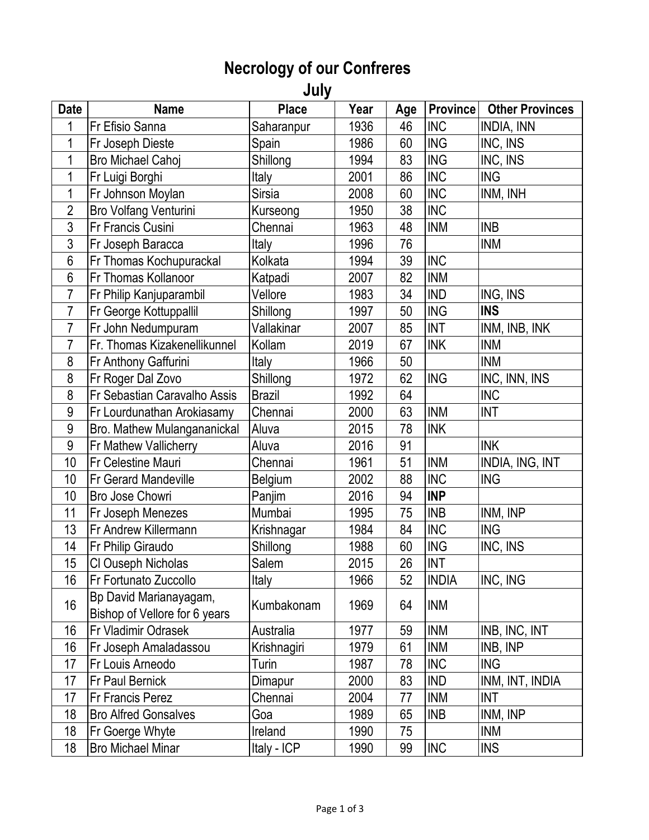## **Necrology of our Confreres**

**July**

| <b>Date</b>    | <b>Name</b>                   | <b>Place</b>  | Year | Age | <b>Province</b> | <b>Other Provinces</b> |
|----------------|-------------------------------|---------------|------|-----|-----------------|------------------------|
| 1              | Fr Efisio Sanna               | Saharanpur    | 1936 | 46  | <b>INC</b>      | INDIA, INN             |
| 1              | Fr Joseph Dieste              | Spain         | 1986 | 60  | <b>ING</b>      | INC, INS               |
| 1              | <b>Bro Michael Cahoj</b>      | Shillong      | 1994 | 83  | <b>ING</b>      | INC, INS               |
| 1              | Fr Luigi Borghi               | Italy         | 2001 | 86  | <b>INC</b>      | <b>ING</b>             |
| 1              | Fr Johnson Moylan             | <b>Sirsia</b> | 2008 | 60  | <b>INC</b>      | INM, INH               |
| $\overline{2}$ | <b>Bro Volfang Venturini</b>  | Kurseong      | 1950 | 38  | <b>INC</b>      |                        |
| 3              | Fr Francis Cusini             | Chennai       | 1963 | 48  | <b>INM</b>      | <b>INB</b>             |
| 3              | Fr Joseph Baracca             | Italy         | 1996 | 76  |                 | <b>INM</b>             |
| 6              | Fr Thomas Kochupurackal       | Kolkata       | 1994 | 39  | <b>INC</b>      |                        |
| 6              | Fr Thomas Kollanoor           | Katpadi       | 2007 | 82  | <b>INM</b>      |                        |
| $\overline{7}$ | Fr Philip Kanjuparambil       | Vellore       | 1983 | 34  | <b>IND</b>      | ING, INS               |
| 7              | Fr George Kottuppallil        | Shillong      | 1997 | 50  | <b>ING</b>      | <b>INS</b>             |
| 7              | Fr John Nedumpuram            | Vallakinar    | 2007 | 85  | <b>INT</b>      | INM, INB, INK          |
| 7              | Fr. Thomas Kizakenellikunnel  | Kollam        | 2019 | 67  | <b>INK</b>      | <b>INM</b>             |
| 8              | Fr Anthony Gaffurini          | Italy         | 1966 | 50  |                 | <b>INM</b>             |
| 8              | Fr Roger Dal Zovo             | Shillong      | 1972 | 62  | <b>ING</b>      | INC, INN, INS          |
| 8              | Fr Sebastian Caravalho Assis  | <b>Brazil</b> | 1992 | 64  |                 | <b>INC</b>             |
| 9              | Fr Lourdunathan Arokiasamy    | Chennai       | 2000 | 63  | <b>INM</b>      | <b>INT</b>             |
| 9              | Bro. Mathew Mulangananickal   | Aluva         | 2015 | 78  | <b>INK</b>      |                        |
| 9              | Fr Mathew Vallicherry         | Aluva         | 2016 | 91  |                 | <b>INK</b>             |
| 10             | <b>Fr Celestine Mauri</b>     | Chennai       | 1961 | 51  | <b>INM</b>      | INDIA, ING, INT        |
| 10             | <b>Fr Gerard Mandeville</b>   | Belgium       | 2002 | 88  | <b>INC</b>      | <b>ING</b>             |
| 10             | Bro Jose Chowri               | Panjim        | 2016 | 94  | <b>INP</b>      |                        |
| 11             | Fr Joseph Menezes             | Mumbai        | 1995 | 75  | <b>INB</b>      | INM, INP               |
| 13             | Fr Andrew Killermann          | Krishnagar    | 1984 | 84  | <b>INC</b>      | <b>ING</b>             |
| 14             | Fr Philip Giraudo             | Shillong      | 1988 | 60  | <b>ING</b>      | INC, INS               |
| 15             | CI Ouseph Nicholas            | Salem         | 2015 | 26  | <b>INT</b>      |                        |
| 16             | Fr Fortunato Zuccollo         | <b>Italy</b>  | 1966 | 52  | <b>INDIA</b>    | INC, ING               |
| 16             | Bp David Marianayagam,        | Kumbakonam    | 1969 | 64  | <b>INM</b>      |                        |
|                | Bishop of Vellore for 6 years |               |      |     |                 |                        |
| 16             | Fr Vladimir Odrasek           | Australia     | 1977 | 59  | <b>INM</b>      | INB, INC, INT          |
| 16             | Fr Joseph Amaladassou         | Krishnagiri   | 1979 | 61  | <b>INM</b>      | INB, INP               |
| 17             | Fr Louis Arneodo              | Turin         | 1987 | 78  | <b>INC</b>      | <b>ING</b>             |
| 17             | Fr Paul Bernick               | Dimapur       | 2000 | 83  | <b>IND</b>      | INM, INT, INDIA        |
| 17             | <b>Fr Francis Perez</b>       | Chennai       | 2004 | 77  | <b>INM</b>      | <b>INT</b>             |
| 18             | <b>Bro Alfred Gonsalves</b>   | Goa           | 1989 | 65  | <b>INB</b>      | INM, INP               |
| 18             | Fr Goerge Whyte               | Ireland       | 1990 | 75  |                 | <b>INM</b>             |
| 18             | <b>Bro Michael Minar</b>      | Italy - ICP   | 1990 | 99  | <b>INC</b>      | <b>INS</b>             |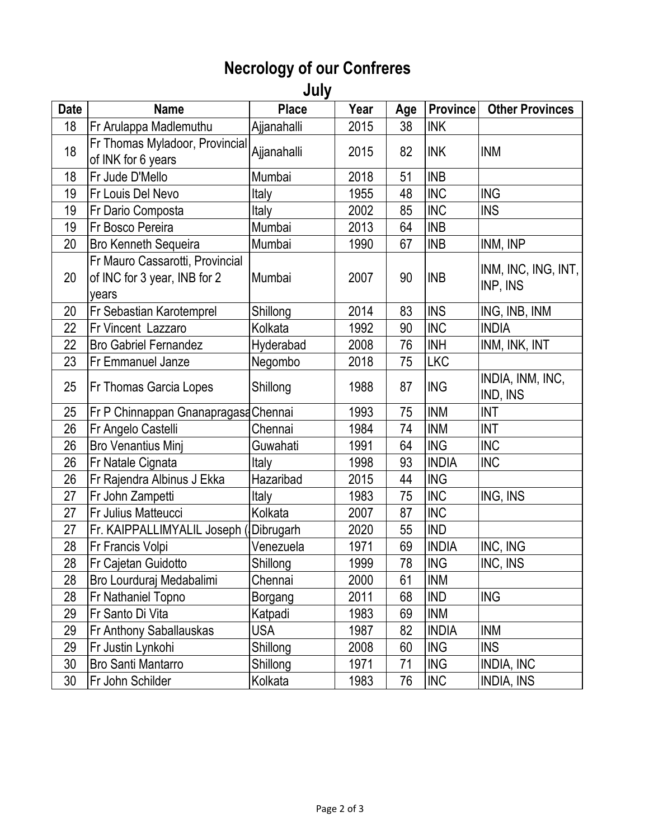## **Necrology of our Confreres**

**July**

| <b>Date</b> | <b>Name</b>                                                              | <b>Place</b>   | Year | Age | <b>Province</b> | <b>Other Provinces</b>          |
|-------------|--------------------------------------------------------------------------|----------------|------|-----|-----------------|---------------------------------|
| 18          | Fr Arulappa Madlemuthu                                                   | Ajjanahalli    | 2015 | 38  | <b>INK</b>      |                                 |
| 18          | Fr Thomas Myladoor, Provincial                                           | Ajjanahalli    | 2015 | 82  | <b>INK</b>      |                                 |
|             | of INK for 6 years                                                       |                |      |     |                 | <b>INM</b>                      |
| 18          | Fr Jude D'Mello                                                          | Mumbai         | 2018 | 51  | <b>INB</b>      |                                 |
| 19          | Fr Louis Del Nevo                                                        | Italy          | 1955 | 48  | <b>INC</b>      | <b>ING</b>                      |
| 19          | Fr Dario Composta                                                        | <b>Italy</b>   | 2002 | 85  | <b>INC</b>      | <b>INS</b>                      |
| 19          | Fr Bosco Pereira                                                         | Mumbai         | 2013 | 64  | <b>INB</b>      |                                 |
| 20          | <b>Bro Kenneth Sequeira</b>                                              | Mumbai         | 1990 | 67  | <b>INB</b>      | INM, INP                        |
| 20          | Fr Mauro Cassarotti, Provincial<br>of INC for 3 year, INB for 2<br>years | Mumbai         | 2007 | 90  | <b>INB</b>      | INM, INC, ING, INT,<br>INP, INS |
| 20          | Fr Sebastian Karotemprel                                                 | Shillong       | 2014 | 83  | <b>INS</b>      | ING, INB, INM                   |
| 22          | Fr Vincent Lazzaro                                                       | Kolkata        | 1992 | 90  | <b>INC</b>      | <b>INDIA</b>                    |
| 22          | <b>Bro Gabriel Fernandez</b>                                             | Hyderabad      | 2008 | 76  | <b>INH</b>      | INM, INK, INT                   |
| 23          | Fr Emmanuel Janze                                                        | Negombo        | 2018 | 75  | <b>LKC</b>      |                                 |
| 25          | Fr Thomas Garcia Lopes                                                   | Shillong       | 1988 | 87  | <b>ING</b>      | INDIA, INM, INC,<br>IND, INS    |
| 25          | Fr P Chinnappan Gnanapragasa Chennai                                     |                | 1993 | 75  | <b>INM</b>      | <b>INT</b>                      |
| 26          | Fr Angelo Castelli                                                       | Chennai        | 1984 | 74  | <b>INM</b>      | <b>INT</b>                      |
| 26          | <b>Bro Venantius Minj</b>                                                | Guwahati       | 1991 | 64  | <b>ING</b>      | <b>INC</b>                      |
| 26          | Fr Natale Cignata                                                        | Italy          | 1998 | 93  | <b>INDIA</b>    | <b>INC</b>                      |
| 26          | Fr Rajendra Albinus J Ekka                                               | Hazaribad      | 2015 | 44  | <b>ING</b>      |                                 |
| 27          | Fr John Zampetti                                                         | Italy          | 1983 | 75  | <b>INC</b>      | ING, INS                        |
| 27          | Fr Julius Matteucci                                                      | Kolkata        | 2007 | 87  | <b>INC</b>      |                                 |
| 27          | Fr. KAIPPALLIMYALIL Joseph (Dibrugarh                                    |                | 2020 | 55  | <b>IND</b>      |                                 |
| 28          | Fr Francis Volpi                                                         | Venezuela      | 1971 | 69  | <b>INDIA</b>    | INC, ING                        |
| 28          | Fr Cajetan Guidotto                                                      | Shillong       | 1999 | 78  | <b>ING</b>      | INC, INS                        |
| 28          | Bro Lourduraj Medabalimi                                                 | Chennai        | 2000 | 61  | <b>INM</b>      |                                 |
| 28          | Fr Nathaniel Topno                                                       | <b>Borgang</b> | 2011 | 68  | <b>IND</b>      | <b>ING</b>                      |
| 29          | Fr Santo Di Vita                                                         | Katpadi        | 1983 | 69  | <b>INM</b>      |                                 |
| 29          | Fr Anthony Saballauskas                                                  | <b>USA</b>     | 1987 | 82  | <b>INDIA</b>    | <b>INM</b>                      |
| 29          | Fr Justin Lynkohi                                                        | Shillong       | 2008 | 60  | <b>ING</b>      | <b>INS</b>                      |
| 30          | <b>Bro Santi Mantarro</b>                                                | Shillong       | 1971 | 71  | <b>ING</b>      | INDIA, INC                      |
| 30          | Fr John Schilder                                                         | Kolkata        | 1983 | 76  | <b>INC</b>      | <b>INDIA, INS</b>               |